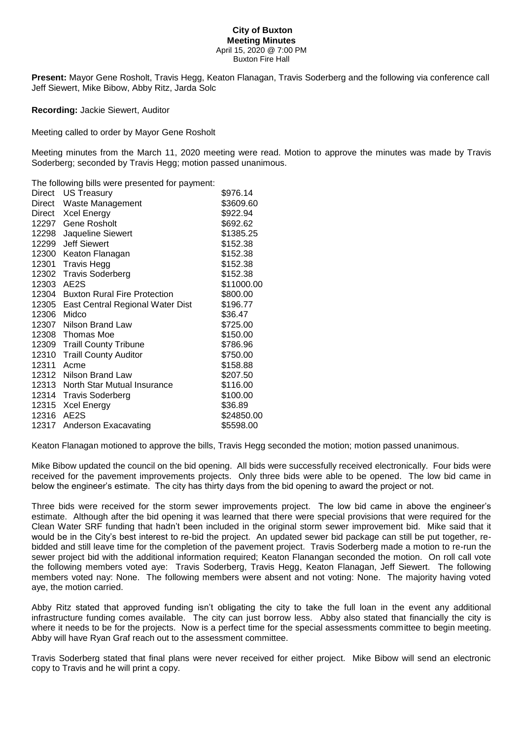## **City of Buxton Meeting Minutes** April 15, 2020 @ 7:00 PM Buxton Fire Hall

**Present:** Mayor Gene Rosholt, Travis Hegg, Keaton Flanagan, Travis Soderberg and the following via conference call Jeff Siewert, Mike Bibow, Abby Ritz, Jarda Solc

**Recording:** Jackie Siewert, Auditor

Meeting called to order by Mayor Gene Rosholt

Meeting minutes from the March 11, 2020 meeting were read. Motion to approve the minutes was made by Travis Soderberg; seconded by Travis Hegg; motion passed unanimous.

The following bills were presented for payment:

| Direct | US Treasury                         | \$976.14   |
|--------|-------------------------------------|------------|
| Direct | Waste Management                    | \$3609.60  |
| Direct | <b>Xcel Energy</b>                  | \$922.94   |
| 12297  | Gene Rosholt                        | \$692.62   |
| 12298  | Jaqueline Siewert                   | \$1385.25  |
| 12299  | <b>Jeff Siewert</b>                 | \$152.38   |
| 12300  | Keaton Flanagan                     | \$152.38   |
| 12301  | <b>Travis Hegg</b>                  | \$152.38   |
|        | 12302 Travis Soderberg              | \$152.38   |
| 12303  | AE2S                                | \$11000.00 |
| 12304  | <b>Buxton Rural Fire Protection</b> | \$800.00   |
| 12305  | East Central Regional Water Dist    | \$196.77   |
| 12306  | Midco                               | \$36.47    |
| 12307  | Nilson Brand Law                    | \$725.00   |
|        | 12308 Thomas Moe                    | \$150.00   |
| 12309  | <b>Traill County Tribune</b>        | \$786.96   |
| 12310  | <b>Traill County Auditor</b>        | \$750.00   |
| 12311  | Acme                                | \$158.88   |
| 12312  | Nilson Brand Law                    | \$207.50   |
| 12313  | North Star Mutual Insurance         | \$116.00   |
| 12314  | <b>Travis Soderberg</b>             | \$100.00   |
| 12315  | <b>Xcel Energy</b>                  | \$36.89    |
| 12316  | AE2S                                | \$24850.00 |
| 12317  | Anderson Exacavating                | \$5598.00  |

Keaton Flanagan motioned to approve the bills, Travis Hegg seconded the motion; motion passed unanimous.

Mike Bibow updated the council on the bid opening. All bids were successfully received electronically. Four bids were received for the pavement improvements projects. Only three bids were able to be opened. The low bid came in below the engineer's estimate. The city has thirty days from the bid opening to award the project or not.

Three bids were received for the storm sewer improvements project. The low bid came in above the engineer's estimate. Although after the bid opening it was learned that there were special provisions that were required for the Clean Water SRF funding that hadn't been included in the original storm sewer improvement bid. Mike said that it would be in the City's best interest to re-bid the project. An updated sewer bid package can still be put together, rebidded and still leave time for the completion of the pavement project. Travis Soderberg made a motion to re-run the sewer project bid with the additional information required; Keaton Flanangan seconded the motion. On roll call vote the following members voted aye: Travis Soderberg, Travis Hegg, Keaton Flanagan, Jeff Siewert. The following members voted nay: None. The following members were absent and not voting: None. The majority having voted aye, the motion carried.

Abby Ritz stated that approved funding isn't obligating the city to take the full loan in the event any additional infrastructure funding comes available. The city can just borrow less. Abby also stated that financially the city is where it needs to be for the projects. Now is a perfect time for the special assessments committee to begin meeting. Abby will have Ryan Graf reach out to the assessment committee.

Travis Soderberg stated that final plans were never received for either project. Mike Bibow will send an electronic copy to Travis and he will print a copy.